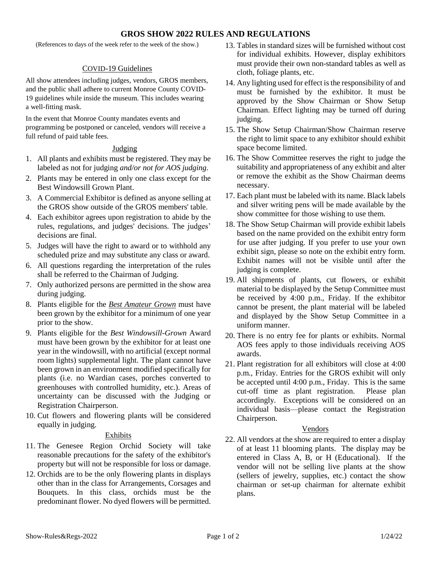# **GROS SHOW 2022 RULES AND REGULATIONS**

(References to days of the week refer to the week of the show.)

### COVID-19 Guidelines

All show attendees including judges, vendors, GROS members, and the public shall adhere to current Monroe County COVID-19 guidelines while inside the museum. This includes wearing a well-fitting mask.

In the event that Monroe County mandates events and programming be postponed or canceled, vendors will receive a full refund of paid table fees.

#### Judging

- 1. All plants and exhibits must be registered. They may be labeled as not for judging *and/or not for AOS judging*.
- 2. Plants may be entered in only one class except for the Best Windowsill Grown Plant.
- 3. A Commercial Exhibitor is defined as anyone selling at the GROS show outside of the GROS members' table.
- 4. Each exhibitor agrees upon registration to abide by the rules, regulations, and judges' decisions. The judges' decisions are final.
- 5. Judges will have the right to award or to withhold any scheduled prize and may substitute any class or award.
- 6. All questions regarding the interpretation of the rules shall be referred to the Chairman of Judging.
- 7. Only authorized persons are permitted in the show area during judging.
- 8. Plants eligible for the *Best Amateur Grown* must have been grown by the exhibitor for a minimum of one year prior to the show.
- 9. Plants eligible for the *Best Windowsill-Grown* Award must have been grown by the exhibitor for at least one year in the windowsill, with no artificial (except normal room lights) supplemental light. The plant cannot have been grown in an environment modified specifically for plants (i.e. no Wardian cases, porches converted to greenhouses with controlled humidity, etc.). Areas of uncertainty can be discussed with the Judging or Registration Chairperson.
- 10. Cut flowers and flowering plants will be considered equally in judging.

#### Exhibits

- 11. The Genesee Region Orchid Society will take reasonable precautions for the safety of the exhibitor's property but will not be responsible for loss or damage.
- 12. Orchids are to be the only flowering plants in displays other than in the class for Arrangements, Corsages and Bouquets. In this class, orchids must be the predominant flower. No dyed flowers will be permitted.
- 13. Tables in standard sizes will be furnished without cost for individual exhibits. However, display exhibitors must provide their own non-standard tables as well as cloth, foliage plants, etc.
- 14. Any lighting used for effect is the responsibility of and must be furnished by the exhibitor. It must be approved by the Show Chairman or Show Setup Chairman. Effect lighting may be turned off during judging.
- 15. The Show Setup Chairman/Show Chairman reserve the right to limit space to any exhibitor should exhibit space become limited.
- 16. The Show Committee reserves the right to judge the suitability and appropriateness of any exhibit and alter or remove the exhibit as the Show Chairman deems necessary.
- 17. Each plant must be labeled with its name. Black labels and silver writing pens will be made available by the show committee for those wishing to use them.
- 18. The Show Setup Chairman will provide exhibit labels based on the name provided on the exhibit entry form for use after judging. If you prefer to use your own exhibit sign, please so note on the exhibit entry form. Exhibit names will not be visible until after the judging is complete.
- 19. All shipments of plants, cut flowers, or exhibit material to be displayed by the Setup Committee must be received by 4:00 p.m., Friday. If the exhibitor cannot be present, the plant material will be labeled and displayed by the Show Setup Committee in a uniform manner.
- 20. There is no entry fee for plants or exhibits. Normal AOS fees apply to those individuals receiving AOS awards.
- 21. Plant registration for all exhibitors will close at 4:00 p.m., Friday. Entries for the GROS exhibit will only be accepted until 4:00 p.m., Friday. This is the same cut-off time as plant registration. Please plan accordingly. Exceptions will be considered on an individual basis—please contact the Registration Chairperson.

## Vendors

22. All vendors at the show are required to enter a display of at least 11 blooming plants. The display may be entered in Class A, B, or H (Educational). If the vendor will not be selling live plants at the show (sellers of jewelry, supplies, etc.) contact the show chairman or set-up chairman for alternate exhibit plans.